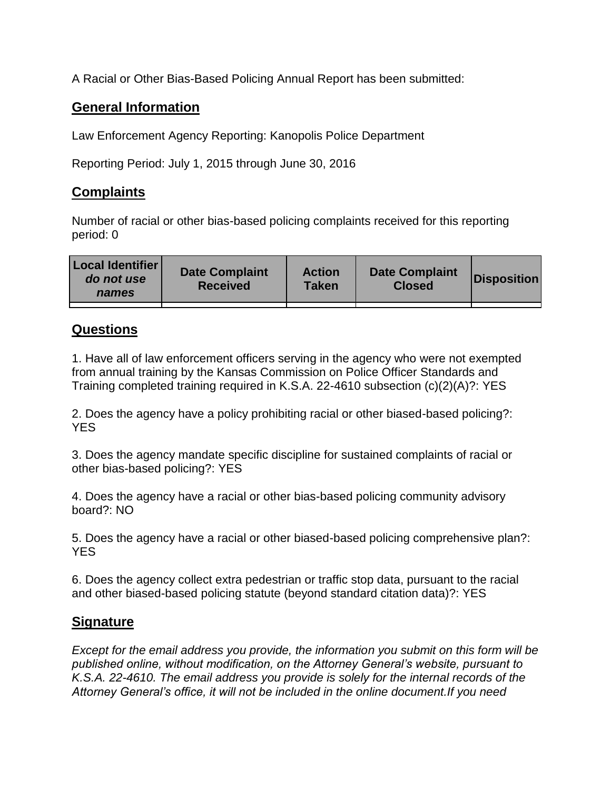A Racial or Other Bias-Based Policing Annual Report has been submitted:

## **General Information**

Law Enforcement Agency Reporting: Kanopolis Police Department

Reporting Period: July 1, 2015 through June 30, 2016

## **Complaints**

Number of racial or other bias-based policing complaints received for this reporting period: 0

| <b>Local Identifier</b><br>do not use<br>names | <b>Date Complaint</b><br><b>Received</b> | <b>Action</b><br><b>Taken</b> | <b>Date Complaint</b><br><b>Closed</b> | Disposition |
|------------------------------------------------|------------------------------------------|-------------------------------|----------------------------------------|-------------|
|                                                |                                          |                               |                                        |             |

## **Questions**

1. Have all of law enforcement officers serving in the agency who were not exempted from annual training by the Kansas Commission on Police Officer Standards and Training completed training required in K.S.A. 22-4610 subsection (c)(2)(A)?: YES

2. Does the agency have a policy prohibiting racial or other biased-based policing?: YES

3. Does the agency mandate specific discipline for sustained complaints of racial or other bias-based policing?: YES

4. Does the agency have a racial or other bias-based policing community advisory board?: NO

5. Does the agency have a racial or other biased-based policing comprehensive plan?: YES

6. Does the agency collect extra pedestrian or traffic stop data, pursuant to the racial and other biased-based policing statute (beyond standard citation data)?: YES

## **Signature**

*Except for the email address you provide, the information you submit on this form will be published online, without modification, on the Attorney General's website, pursuant to K.S.A. 22-4610. The email address you provide is solely for the internal records of the Attorney General's office, it will not be included in the online document.If you need*